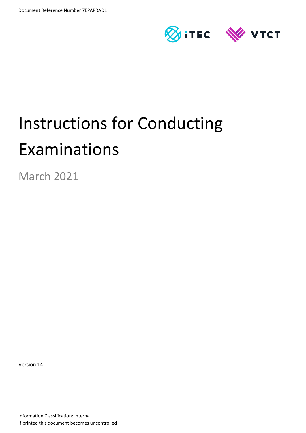

# Instructions for Conducting Examinations

March 2021

Version 14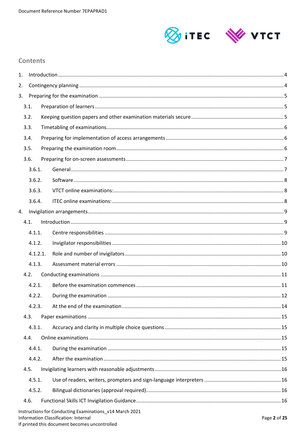

# Contents

| 1. |          |  |                                                                                                 |              |
|----|----------|--|-------------------------------------------------------------------------------------------------|--------------|
| 2. |          |  |                                                                                                 |              |
| 3. |          |  |                                                                                                 |              |
|    | 3.1.     |  |                                                                                                 |              |
|    | 3.2.     |  |                                                                                                 |              |
|    | 3.3.     |  |                                                                                                 |              |
|    | 3.4.     |  |                                                                                                 |              |
|    | 3.5.     |  |                                                                                                 |              |
|    | 3.6.     |  |                                                                                                 |              |
|    | 3.6.1.   |  |                                                                                                 |              |
|    | 3.6.2.   |  |                                                                                                 |              |
|    | 3.6.3.   |  |                                                                                                 |              |
|    | 3.6.4.   |  |                                                                                                 |              |
| 4. |          |  |                                                                                                 |              |
|    | 4.1.     |  |                                                                                                 |              |
|    | 4.1.1.   |  |                                                                                                 |              |
|    | 4.1.2.   |  |                                                                                                 |              |
|    | 4.1.2.1. |  |                                                                                                 |              |
|    | 4.1.3.   |  |                                                                                                 |              |
|    | 4.2.     |  |                                                                                                 |              |
|    | 4.2.1.   |  |                                                                                                 |              |
|    | 4.2.2.   |  |                                                                                                 |              |
|    | 4.2.3.   |  |                                                                                                 |              |
|    | 4.3.     |  |                                                                                                 |              |
|    | 4.3.1.   |  |                                                                                                 |              |
|    | 4.4.     |  |                                                                                                 |              |
|    | 4.4.1.   |  |                                                                                                 |              |
|    | 4.4.2.   |  |                                                                                                 |              |
|    | 4.5.     |  |                                                                                                 |              |
|    | 4.5.1.   |  |                                                                                                 |              |
|    | 4.5.2.   |  |                                                                                                 |              |
|    | 4.6.     |  |                                                                                                 |              |
|    |          |  | Instructions for Conducting Examinations v14 March 2021<br>Information Classification: Internal | Page 2 of 25 |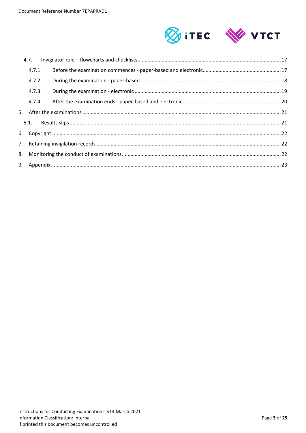

| 4.7.   |  |  |
|--------|--|--|
| 4.7.1. |  |  |
| 4.7.2. |  |  |
| 4.7.3. |  |  |
| 4.7.4. |  |  |
|        |  |  |
|        |  |  |
|        |  |  |
|        |  |  |
|        |  |  |
|        |  |  |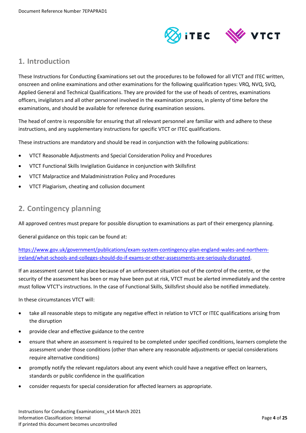

# <span id="page-3-0"></span>**1. Introduction**

These Instructions for Conducting Examinations set out the procedures to be followed for all VTCT and ITEC written, onscreen and online examinations and other examinations for the following qualification types: VRQ, NVQ, SVQ, Applied General and Technical Qualifications. They are provided for the use of heads of centres, examinations officers, invigilators and all other personnel involved in the examination process, in plenty of time before the examinations, and should be available for reference during examination sessions.

The head of centre is responsible for ensuring that all relevant personnel are familiar with and adhere to these instructions, and any supplementary instructions for specific VTCT or ITEC qualifications.

These instructions are mandatory and should be read in conjunction with the following publications:

- VTCT Reasonable Adjustments and Special Consideration Policy and Procedures
- VTCT Functional Skills Invigilation Guidance in conjunction with Skillsfirst
- VTCT Malpractice and Maladministration Policy and Procedures
- <span id="page-3-1"></span>VTCT Plagiarism, cheating and collusion document

# **2. Contingency planning**

All approved centres must prepare for possible disruption to examinations as part of their emergency planning.

General guidance on this topic can be found at:

[https://www.gov.uk/government/publications/exam-system-contingency-plan-england-wales-and-northern](https://www.gov.uk/government/publications/exam-system-contingency-plan-england-wales-and-northern-ireland/what-schools-and-colleges-should-do-if-exams-or-other-assessments-are-seriously-disrupted)[ireland/what-schools-and-colleges-should-do-if-exams-or-other-assessments-are-seriously-disrupted.](https://www.gov.uk/government/publications/exam-system-contingency-plan-england-wales-and-northern-ireland/what-schools-and-colleges-should-do-if-exams-or-other-assessments-are-seriously-disrupted)

If an assessment cannot take place because of an unforeseen situation out of the control of the centre, or the security of the assessment has been or may have been put at risk, VTCT must be alerted immediately and the centre must follow VTCT's instructions. In the case of Functional Skills, Skillsfirst should also be notified immediately.

In these circumstances VTCT will:

- take all reasonable steps to mitigate any negative effect in relation to VTCT or ITEC qualifications arising from the disruption
- provide clear and effective guidance to the centre
- ensure that where an assessment is required to be completed under specified conditions, learners complete the assessment under those conditions (other than where any reasonable adjustments or special considerations require alternative conditions)
- promptly notify the relevant regulators about any event which could have a negative effect on learners, standards or public confidence in the qualification
- consider requests for special consideration for affected learners as appropriate.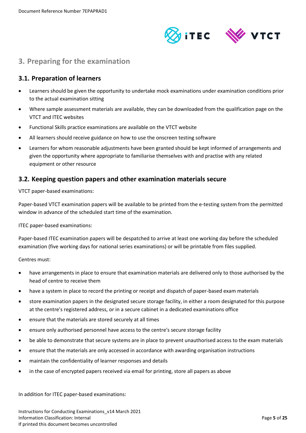

# <span id="page-4-0"></span>**3. Preparing for the examination**

## <span id="page-4-1"></span>**3.1. Preparation of learners**

- Learners should be given the opportunity to undertake mock examinations under examination conditions prior to the actual examination sitting
- Where sample assessment materials are available, they can be downloaded from the qualification page on the VTCT and ITEC websites
- Functional Skills practice examinations are available on the VTCT website
- All learners should receive guidance on how to use the onscreen testing software
- Learners for whom reasonable adjustments have been granted should be kept informed of arrangements and given the opportunity where appropriate to familiarise themselves with and practise with any related equipment or other resource

## <span id="page-4-2"></span>**3.2. Keeping question papers and other examination materials secure**

VTCT paper-based examinations:

Paper-based VTCT examination papers will be available to be printed from the e-testing system from the permitted window in advance of the scheduled start time of the examination.

ITEC paper-based examinations:

Paper-based ITEC examination papers will be despatched to arrive at least one working day before the scheduled examination (five working days for national series examinations) or will be printable from files supplied.

Centres must:

- have arrangements in place to ensure that examination materials are delivered only to those authorised by the head of centre to receive them
- have a system in place to record the printing or receipt and dispatch of paper-based exam materials
- store examination papers in the designated secure storage facility, in either a room designated for this purpose at the centre's registered address, or in a secure cabinet in a dedicated examinations office
- ensure that the materials are stored securely at all times
- ensure only authorised personnel have access to the centre's secure storage facility
- be able to demonstrate that secure systems are in place to prevent unauthorised access to the exam materials
- ensure that the materials are only accessed in accordance with awarding organisation instructions
- maintain the confidentiality of learner responses and details
- in the case of encrypted papers received via email for printing, store all papers as above

In addition for ITEC paper-based examinations: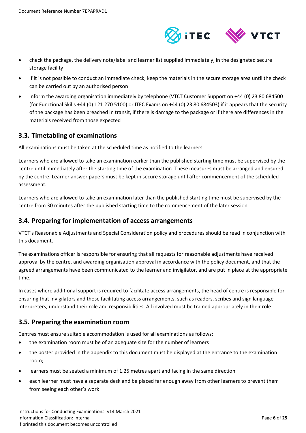

- check the package, the delivery note/label and learner list supplied immediately, in the designated secure storage facility
- if it is not possible to conduct an immediate check, keep the materials in the secure storage area until the check can be carried out by an authorised person
- inform the awarding organisation immediately by telephone (VTCT Customer Support on +44 (0) 23 80 684500 (for Functional Skills +44 (0) 121 270 5100) or ITEC Exams on +44 (0) 23 80 684503) if it appears that the security of the package has been breached in transit, if there is damage to the package or if there are differences in the materials received from those expected

## <span id="page-5-0"></span>**3.3. Timetabling of examinations**

All examinations must be taken at the scheduled time as notified to the learners.

Learners who are allowed to take an examination earlier than the published starting time must be supervised by the centre until immediately after the starting time of the examination. These measures must be arranged and ensured by the centre. Learner answer papers must be kept in secure storage until after commencement of the scheduled assessment.

Learners who are allowed to take an examination later than the published starting time must be supervised by the centre from 30 minutes after the published starting time to the commencement of the later session.

# <span id="page-5-1"></span>**3.4. Preparing for implementation of access arrangements**

VTCT's Reasonable Adjustments and Special Consideration policy and procedures should be read in conjunction with this document.

The examinations officer is responsible for ensuring that all requests for reasonable adjustments have received approval by the centre, and awarding organisation approval in accordance with the policy document, and that the agreed arrangements have been communicated to the learner and invigilator, and are put in place at the appropriate time.

In cases where additional support is required to facilitate access arrangements, the head of centre is responsible for ensuring that invigilators and those facilitating access arrangements, such as readers, scribes and sign language interpreters, understand their role and responsibilities. All involved must be trained appropriately in their role.

# <span id="page-5-2"></span>**3.5. Preparing the examination room**

Centres must ensure suitable accommodation is used for all examinations as follows:

- the examination room must be of an adequate size for the number of learners
- the poster provided in the appendix to this document must be displayed at the entrance to the examination room;
- learners must be seated a minimum of 1.25 metres apart and facing in the same direction
- each learner must have a separate desk and be placed far enough away from other learners to prevent them from seeing each other's work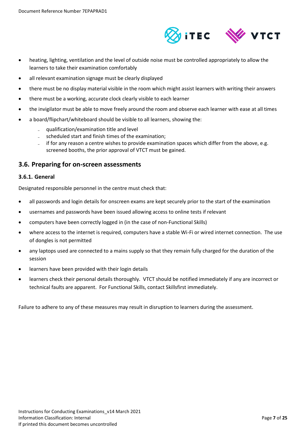

- heating, lighting, ventilation and the level of outside noise must be controlled appropriately to allow the learners to take their examination comfortably
- all relevant examination signage must be clearly displayed
- there must be no display material visible in the room which might assist learners with writing their answers
- there must be a working, accurate clock clearly visible to each learner
- the invigilator must be able to move freely around the room and observe each learner with ease at all times
- a board/flipchart/whiteboard should be visible to all learners, showing the:
	- qualification/examination title and level
	- scheduled start and finish times of the examination;
	- if for any reason a centre wishes to provide examination spaces which differ from the above, e.g. screened booths, the prior approval of VTCT must be gained.

#### <span id="page-6-0"></span>**3.6. Preparing for on-screen assessments**

#### <span id="page-6-1"></span>**3.6.1. General**

Designated responsible personnel in the centre must check that:

- all passwords and login details for onscreen exams are kept securely prior to the start of the examination
- usernames and passwords have been issued allowing access to online tests if relevant
- computers have been correctly logged in (in the case of non-Functional Skills)
- where access to the internet is required, computers have a stable Wi-Fi or wired internet connection. The use of dongles is not permitted
- any laptops used are connected to a mains supply so that they remain fully charged for the duration of the session
- learners have been provided with their login details
- learners check their personal details thoroughly. VTCT should be notified immediately if any are incorrect or technical faults are apparent. For Functional Skills, contact Skillsfirst immediately.

Failure to adhere to any of these measures may result in disruption to learners during the assessment.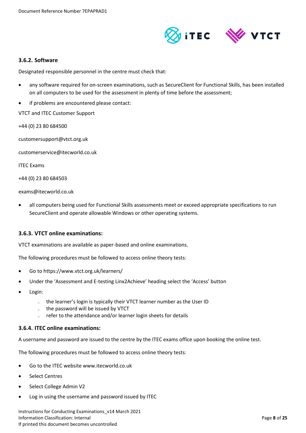

#### <span id="page-7-0"></span>**3.6.2. Software**

Designated responsible personnel in the centre must check that:

- any software required for on-screen examinations, such as SecureClient for Functional Skills, has been installed on all computers to be used for the assessment in plenty of time before the assessment;
- if problems are encountered please contact:

VTCT and ITEC Customer Support

+44 (0) 23 80 684500

customersupport@vtct.org.uk

customerservice@itecworld.co.uk

ITEC Exams

+44 (0) 23 80 684503

exams@itecworld.co.uk

 all computers being used for Functional Skills assessments meet or exceed appropriate specifications to run SecureClient and operate allowable Windows or other operating systems.

#### <span id="page-7-1"></span>**3.6.3. VTCT online examinations:**

VTCT examinations are available as paper-based and online examinations.

The following procedures must be followed to access online theory tests:

- Go to https://www.vtct.org.uk/learners/
- Under the 'Assessment and E-testing Linx2Achieve' heading select the 'Access' button
- Login:
	- the learner's login is typically their VTCT learner number as the User ID
	- the password will be issued by VTCT
	- refer to the attendance and/or learner login sheets for details

#### <span id="page-7-2"></span>**3.6.4. ITEC online examinations:**

A username and password are issued to the centre by the ITEC exams office upon booking the online test.

The following procedures must be followed to access online theory tests:

- Go to the ITEC website www.itecworld.co.uk
- Select Centres
- Select College Admin V2
- Log in using the username and password issued by ITEC

Instructions for Conducting Examinations\_v14 March 2021 Information Classification: Internal Page **8** of **25** If printed this document becomes uncontrolled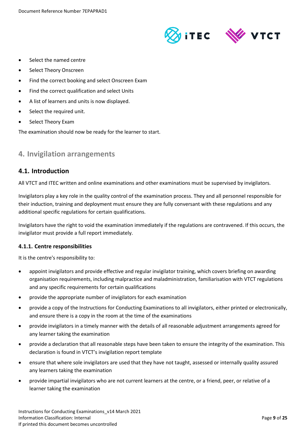

- Select the named centre
- Select Theory Onscreen
- Find the correct booking and select Onscreen Exam
- Find the correct qualification and select Units
- A list of learners and units is now displayed.
- Select the required unit.
- Select Theory Exam

The examination should now be ready for the learner to start.

# <span id="page-8-0"></span>**4. Invigilation arrangements**

## <span id="page-8-1"></span>**4.1. Introduction**

All VTCT and ITEC written and online examinations and other examinations must be supervised by invigilators.

Invigilators play a key role in the quality control of the examination process. They and all personnel responsible for their induction, training and deployment must ensure they are fully conversant with these regulations and any additional specific regulations for certain qualifications.

Invigilators have the right to void the examination immediately if the regulations are contravened. If this occurs, the invigilator must provide a full report immediately.

#### <span id="page-8-2"></span>**4.1.1. Centre responsibilities**

It is the centre's responsibility to:

- appoint invigilators and provide effective and regular invigilator training, which covers briefing on awarding organisation requirements, including malpractice and maladministration, familiarisation with VTCT regulations and any specific requirements for certain qualifications
- provide the appropriate number of invigilators for each examination
- provide a copy of the Instructions for Conducting Examinations to all invigilators, either printed or electronically, and ensure there is a copy in the room at the time of the examinations
- provide invigilators in a timely manner with the details of all reasonable adjustment arrangements agreed for any learner taking the examination
- provide a declaration that all reasonable steps have been taken to ensure the integrity of the examination. This declaration is found in VTCT's invigilation report template
- ensure that where sole invigilators are used that they have not taught, assessed or internally quality assured any learners taking the examination
- provide impartial invigilators who are not current learners at the centre, or a friend, peer, or relative of a learner taking the examination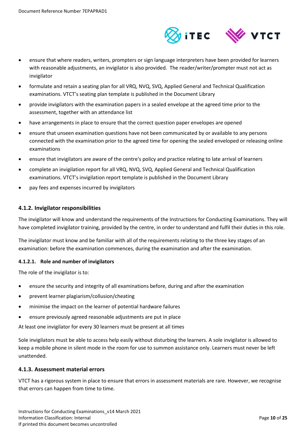

- ensure that where readers, writers, prompters or sign language interpreters have been provided for learners with reasonable adjustments, an invigilator is also provided. The reader/writer/prompter must not act as invigilator
- formulate and retain a seating plan for all VRQ, NVQ, SVQ, Applied General and Technical Qualification examinations. VTCT's seating plan template is published in the Document Library
- provide invigilators with the examination papers in a sealed envelope at the agreed time prior to the assessment, together with an attendance list
- have arrangements in place to ensure that the correct question paper envelopes are opened
- ensure that unseen examination questions have not been communicated by or available to any persons connected with the examination prior to the agreed time for opening the sealed enveloped or releasing online examinations
- ensure that invigilators are aware of the centre's policy and practice relating to late arrival of learners
- complete an invigilation report for all VRQ, NVQ, SVQ, Applied General and Technical Qualification examinations. VTCT's invigilation report template is published in the Document Library
- pay fees and expenses incurred by invigilators

#### <span id="page-9-0"></span>**4.1.2. Invigilator responsibilities**

The invigilator will know and understand the requirements of the Instructions for Conducting Examinations. They will have completed invigilator training, provided by the centre, in order to understand and fulfil their duties in this role.

The invigilator must know and be familiar with all of the requirements relating to the three key stages of an examination: before the examination commences, during the examination and after the examination.

#### <span id="page-9-1"></span>**4.1.2.1. Role and number of invigilators**

The role of the invigilator is to:

- ensure the security and integrity of all examinations before, during and after the examination
- prevent learner plagiarism/collusion/cheating
- minimise the impact on the learner of potential hardware failures
- ensure previously agreed reasonable adjustments are put in place

At least one invigilator for every 30 learners must be present at all times

Sole invigilators must be able to access help easily without disturbing the learners. A sole invigilator is allowed to keep a mobile phone in silent mode in the room for use to summon assistance only. Learners must never be left unattended.

#### <span id="page-9-2"></span>**4.1.3. Assessment material errors**

VTCT has a rigorous system in place to ensure that errors in assessment materials are rare. However, we recognise that errors can happen from time to time.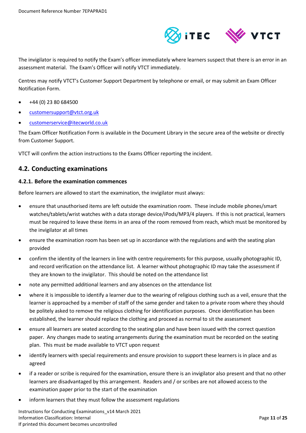

The invigilator is required to notify the Exam's officer immediately where learners suspect that there is an error in an assessment material. The Exam's Officer will notify VTCT immediately.

Centres may notify VTCT's Customer Support Department by telephone or email, or may submit an Exam Officer Notification Form.

- +44 (0) 23 80 684500
- [customersupport@vtct.org.uk](mailto:customersupport@vtct.org.uk)
- [customerservice@itecworld.co.uk](mailto:customerservice@itecworld.co.uk)

The Exam Officer Notification Form is available in the Document Library in the secure area of the website or directly from Customer Support.

VTCT will confirm the action instructions to the Exams Officer reporting the incident.

## <span id="page-10-0"></span>**4.2. Conducting examinations**

#### <span id="page-10-1"></span>**4.2.1. Before the examination commences**

Before learners are allowed to start the examination, the invigilator must always:

- ensure that unauthorised items are left outside the examination room. These include mobile phones/smart watches/tablets/wrist watches with a data storage device/iPods/MP3/4 players. If this is not practical, learners must be required to leave these items in an area of the room removed from reach, which must be monitored by the invigilator at all times
- ensure the examination room has been set up in accordance with the regulations and with the seating plan provided
- confirm the identity of the learners in line with centre requirements for this purpose, usually photographic ID, and record verification on the attendance list. A learner without photographic ID may take the assessment if they are known to the invigilator. This should be noted on the attendance list
- note any permitted additional learners and any absences on the attendance list
- where it is impossible to identify a learner due to the wearing of religious clothing such as a veil, ensure that the learner is approached by a member of staff of the same gender and taken to a private room where they should be politely asked to remove the religious clothing for identification purposes. Once identification has been established, the learner should replace the clothing and proceed as normal to sit the assessment
- ensure all learners are seated according to the seating plan and have been issued with the correct question paper. Any changes made to seating arrangements during the examination must be recorded on the seating plan. This must be made available to VTCT upon request
- identify learners with special requirements and ensure provision to support these learners is in place and as agreed
- if a reader or scribe is required for the examination, ensure there is an invigilator also present and that no other learners are disadvantaged by this arrangement. Readers and / or scribes are not allowed access to the examination paper prior to the start of the examination
- inform learners that they must follow the assessment regulations

Instructions for Conducting Examinations\_v14 March 2021 Information Classification: Internal Page **11** of **25** If printed this document becomes uncontrolled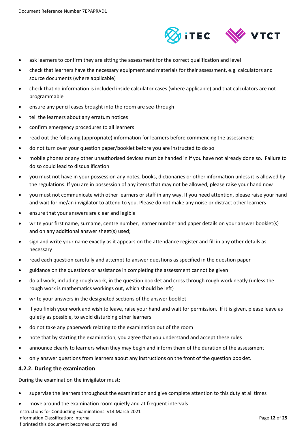

- ask learners to confirm they are sitting the assessment for the correct qualification and level
- check that learners have the necessary equipment and materials for their assessment, e.g. calculators and source documents (where applicable)
- check that no information is included inside calculator cases (where applicable) and that calculators are not programmable
- ensure any pencil cases brought into the room are see-through
- tell the learners about any erratum notices
- confirm emergency procedures to all learners
- read out the following (appropriate) information for learners before commencing the assessment:
- do not turn over your question paper/booklet before you are instructed to do so
- mobile phones or any other unauthorised devices must be handed in if you have not already done so. Failure to do so could lead to disqualification
- you must not have in your possession any notes, books, dictionaries or other information unless it is allowed by the regulations. If you are in possession of any items that may not be allowed, please raise your hand now
- you must not communicate with other learners or staff in any way. If you need attention, please raise your hand and wait for me/an invigilator to attend to you. Please do not make any noise or distract other learners
- ensure that your answers are clear and legible
- write your first name, surname, centre number, learner number and paper details on your answer booklet(s) and on any additional answer sheet(s) used;
- sign and write your name exactly as it appears on the attendance register and fill in any other details as necessary
- read each question carefully and attempt to answer questions as specified in the question paper
- guidance on the questions or assistance in completing the assessment cannot be given
- do all work, including rough work, in the question booklet and cross through rough work neatly (unless the rough work is mathematics workings out, which should be left)
- write your answers in the designated sections of the answer booklet
- if you finish your work and wish to leave, raise your hand and wait for permission. If it is given, please leave as quietly as possible, to avoid disturbing other learners
- do not take any paperwork relating to the examination out of the room
- note that by starting the examination, you agree that you understand and accept these rules
- announce clearly to learners when they may begin and inform them of the duration of the assessment
- only answer questions from learners about any instructions on the front of the question booklet.

#### <span id="page-11-0"></span>**4.2.2. During the examination**

During the examination the invigilator must:

- supervise the learners throughout the examination and give complete attention to this duty at all times
- move around the examination room quietly and at frequent intervals

Instructions for Conducting Examinations\_v14 March 2021 Information Classification: Internal Page **12** of **25** If printed this document becomes uncontrolled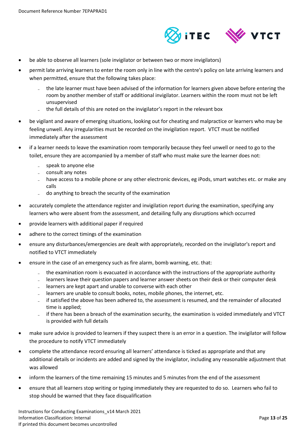

- be able to observe all learners (sole invigilator or between two or more invigilators)
- permit late arriving learners to enter the room only in line with the centre's policy on late arriving learners and when permitted, ensure that the following takes place:
	- the late learner must have been advised of the information for learners given above before entering the room by another member of staff or additional invigilator. Learners within the room must not be left unsupervised
	- the full details of this are noted on the invigilator's report in the relevant box
- be vigilant and aware of emerging situations, looking out for cheating and malpractice or learners who may be feeling unwell. Any irregularities must be recorded on the invigilation report. VTCT must be notified immediately after the assessment
- if a learner needs to leave the examination room temporarily because they feel unwell or need to go to the toilet, ensure they are accompanied by a member of staff who must make sure the learner does not:
	- speak to anyone else
	- consult any notes
	- have access to a mobile phone or any other electronic devices, eg iPods, smart watches etc. or make any calls
	- do anything to breach the security of the examination
- accurately complete the attendance register and invigilation report during the examination, specifying any learners who were absent from the assessment, and detailing fully any disruptions which occurred
- provide learners with additional paper if required
- adhere to the correct timings of the examination
- ensure any disturbances/emergencies are dealt with appropriately, recorded on the invigilator's report and notified to VTCT immediately
- ensure in the case of an emergency such as fire alarm, bomb warning, etc. that:
	- the examination room is evacuated in accordance with the instructions of the appropriate authority
	- learners leave their question papers and learner answer sheets on their desk or their computer desk
	- learners are kept apart and unable to converse with each other
	- learners are unable to consult books, notes, mobile phones, the internet, etc.
	- if satisfied the above has been adhered to, the assessment is resumed, and the remainder of allocated time is applied;
	- ̵ if there has been a breach of the examination security, the examination is voided immediately and VTCT is provided with full details
- make sure advice is provided to learners if they suspect there is an error in a question. The invigilator will follow the procedure to notify VTCT immediately
- complete the attendance record ensuring all learners' attendance is ticked as appropriate and that any additional details or incidents are added and signed by the invigilator, including any reasonable adjustment that was allowed
- inform the learners of the time remaining 15 minutes and 5 minutes from the end of the assessment
- ensure that all learners stop writing or typing immediately they are requested to do so. Learners who fail to stop should be warned that they face disqualification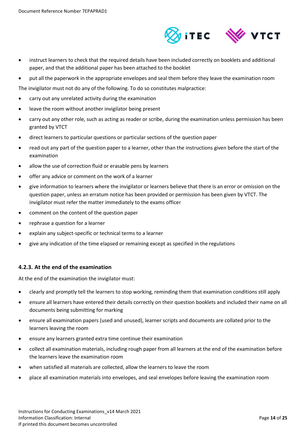

- instruct learners to check that the required details have been included correctly on booklets and additional paper, and that the additional paper has been attached to the booklet
- put all the paperwork in the appropriate envelopes and seal them before they leave the examination room

The invigilator must not do any of the following. To do so constitutes malpractice:

- carry out any unrelated activity during the examination
- leave the room without another invigilator being present
- carry out any other role, such as acting as reader or scribe, during the examination unless permission has been granted by VTCT
- direct learners to particular questions or particular sections of the question paper
- read out any part of the question paper to a learner, other than the instructions given before the start of the examination
- allow the use of correction fluid or erasable pens by learners
- offer any advice or comment on the work of a learner
- give information to learners where the invigilator or learners believe that there is an error or omission on the question paper, unless an erratum notice has been provided or permission has been given by VTCT. The invigilator must refer the matter immediately to the exams officer
- comment on the content of the question paper
- rephrase a question for a learner
- explain any subject-specific or technical terms to a learner
- give any indication of the time elapsed or remaining except as specified in the regulations

#### <span id="page-13-0"></span>**4.2.3. At the end of the examination**

At the end of the examination the invigilator must:

- clearly and promptly tell the learners to stop working, reminding them that examination conditions still apply
- ensure all learners have entered their details correctly on their question booklets and included their name on all documents being submitting for marking
- ensure all examination papers (used and unused), learner scripts and documents are collated prior to the learners leaving the room
- ensure any learners granted extra time continue their examination
- collect all examination materials, including rough paper from all learners at the end of the examination before the learners leave the examination room
- when satisfied all materials are collected, allow the learners to leave the room
- place all examination materials into envelopes, and seal envelopes before leaving the examination room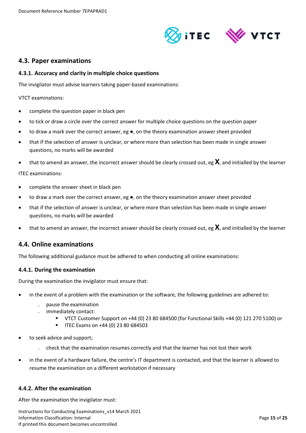

## <span id="page-14-0"></span>**4.3. Paper examinations**

#### <span id="page-14-1"></span>**4.3.1. Accuracy and clarity in multiple choice questions**

The invigilator must advise learners taking paper-based examinations:

VTCT examinations:

- complete the question paper in black pen
- to tick or draw a circle over the correct answer for multiple choice questions on the question paper
- to draw a mark over the correct answer, eg ●, on the theory examination answer sheet provided
- that if the selection of answer is unclear, or where more than selection has been made in single answer questions, no marks will be awarded
- that to amend an answer, the incorrect answer should be clearly crossed out, eg **X**, and initialled by the learner

ITEC examinations:

- complete the answer sheet in black pen
- to draw a mark over the correct answer, eg  $\bullet$ , on the theory examination answer sheet provided
- that if the selection of answer is unclear, or where more than selection has been made in single answer questions, no marks will be awarded
- that to amend an answer, the incorrect answer should be clearly crossed out, eg **X**, and initialled by the learner

## <span id="page-14-2"></span>**4.4. Online examinations**

The following additional guidance must be adhered to when conducting all online examinations:

#### <span id="page-14-3"></span>**4.4.1. During the examination**

During the examination the invigilator must ensure that:

- in the event of a problem with the examination or the software, the following guidelines are adhered to:
	- pause the examination
	- immediately contact:
		- VTCT Customer Support on +44 (0) 23 80 684500 (for Functional Skills +44 (0) 121 270 5100) or
		- $\blacksquare$  ITEC Exams on +44 (0) 23 80 684503
- to seek advice and support;
	- ̵ check that the examination resumes correctly and that the learner has not lost their work
- in the event of a hardware failure, the centre's IT department is contacted, and that the learner is allowed to resume the examination on a different workstation if necessary

#### <span id="page-14-4"></span>**4.4.2. After the examination**

After the examination the invigilator must:

Instructions for Conducting Examinations\_v14 March 2021 Information Classification: Internal Page **15** of **25** If printed this document becomes uncontrolled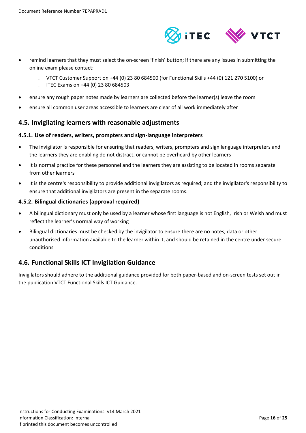

- remind learners that they must select the on-screen 'finish' button; if there are any issues in submitting the online exam please contact:
	- ̵ VTCT Customer Support on +44 (0) 23 80 684500 (for Functional Skills +44 (0) 121 270 5100) or
	- $\mu$  ITEC Exams on +44 (0) 23 80 684503
- ensure any rough paper notes made by learners are collected before the learner(s) leave the room
- ensure all common user areas accessible to learners are clear of all work immediately after

## <span id="page-15-0"></span>**4.5. Invigilating learners with reasonable adjustments**

#### <span id="page-15-1"></span>**4.5.1. Use of readers, writers, prompters and sign-language interpreters**

- The invigilator is responsible for ensuring that readers, writers, prompters and sign language interpreters and the learners they are enabling do not distract, or cannot be overheard by other learners
- It is normal practice for these personnel and the learners they are assisting to be located in rooms separate from other learners
- It is the centre's responsibility to provide additional invigilators as required; and the invigilator's responsibility to ensure that additional invigilators are present in the separate rooms.

#### <span id="page-15-2"></span>**4.5.2. Bilingual dictionaries (approval required)**

- A bilingual dictionary must only be used by a learner whose first language is not English, Irish or Welsh and must reflect the learner's normal way of working
- Bilingual dictionaries must be checked by the invigilator to ensure there are no notes, data or other unauthorised information available to the learner within it, and should be retained in the centre under secure conditions

# <span id="page-15-3"></span>**4.6. Functional Skills ICT Invigilation Guidance**

Invigilators should adhere to the additional guidance provided for both paper-based and on-screen tests set out in the publication VTCT Functional Skills ICT Guidance.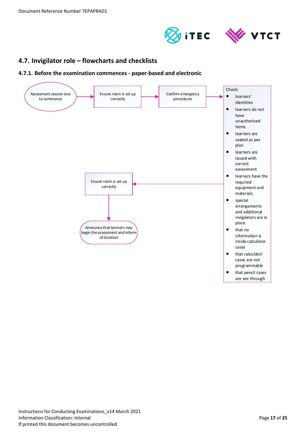



# <span id="page-16-0"></span>**4.7. Invigilator role – flowcharts and checklists**

<span id="page-16-1"></span>**4.7.1. Before the examination commences - paper-based and electronic**

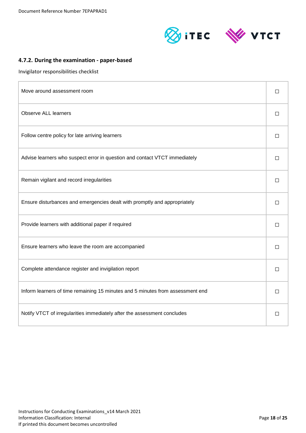



## <span id="page-17-0"></span>**4.7.2. During the examination - paper-based**

Invigilator responsibilities checklist

| Move around assessment room                                                    |        |  |
|--------------------------------------------------------------------------------|--------|--|
| <b>Observe ALL learners</b>                                                    |        |  |
| Follow centre policy for late arriving learners                                | П      |  |
| Advise learners who suspect error in question and contact VTCT immediately     | □      |  |
| Remain vigilant and record irregularities                                      | П      |  |
| Ensure disturbances and emergencies dealt with promptly and appropriately      |        |  |
| Provide learners with additional paper if required                             | $\Box$ |  |
| Ensure learners who leave the room are accompanied                             | $\Box$ |  |
| Complete attendance register and invigilation report                           |        |  |
| Inform learners of time remaining 15 minutes and 5 minutes from assessment end |        |  |
| Notify VTCT of irregularities immediately after the assessment concludes       |        |  |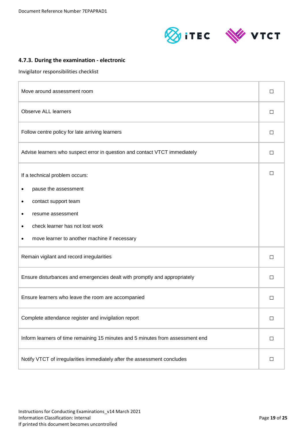



# <span id="page-18-0"></span>**4.7.3. During the examination - electronic**

Invigilator responsibilities checklist

| Move around assessment room                                                    |  |  |
|--------------------------------------------------------------------------------|--|--|
| <b>Observe ALL learners</b>                                                    |  |  |
| Follow centre policy for late arriving learners                                |  |  |
| Advise learners who suspect error in question and contact VTCT immediately     |  |  |
| If a technical problem occurs:                                                 |  |  |
| pause the assessment                                                           |  |  |
| contact support team<br>٠                                                      |  |  |
| resume assessment                                                              |  |  |
| check learner has not lost work                                                |  |  |
| move learner to another machine if necessary                                   |  |  |
| Remain vigilant and record irregularities                                      |  |  |
| Ensure disturbances and emergencies dealt with promptly and appropriately      |  |  |
| Ensure learners who leave the room are accompanied                             |  |  |
| Complete attendance register and invigilation report                           |  |  |
| Inform learners of time remaining 15 minutes and 5 minutes from assessment end |  |  |
| Notify VTCT of irregularities immediately after the assessment concludes       |  |  |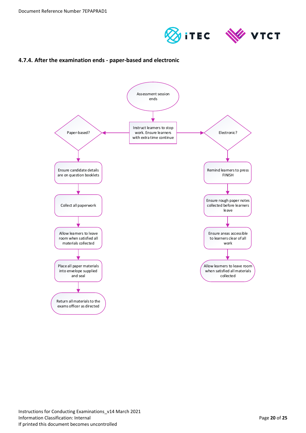



## <span id="page-19-0"></span>**4.7.4. After the examination ends - paper-based and electronic**

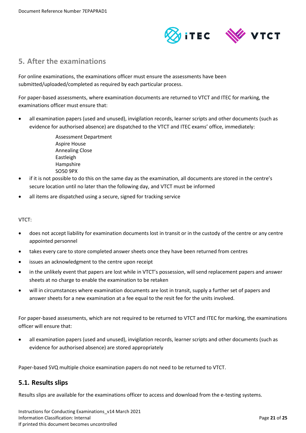

# <span id="page-20-0"></span>**5. After the examinations**

For online examinations, the examinations officer must ensure the assessments have been submitted/uploaded/completed as required by each particular process.

For paper-based assessments, where examination documents are returned to VTCT and ITEC for marking, the examinations officer must ensure that:

 all examination papers (used and unused), invigilation records, learner scripts and other documents (such as evidence for authorised absence) are dispatched to the VTCT and ITEC exams' office, immediately:

> Assessment Department Aspire House Annealing Close Eastleigh Hampshire SO50 9PX

- if it is not possible to do this on the same day as the examination, all documents are stored in the centre's secure location until no later than the following day, and VTCT must be informed
- all items are dispatched using a secure, signed for tracking service

#### VTCT:

- does not accept liability for examination documents lost in transit or in the custody of the centre or any centre appointed personnel
- takes every care to store completed answer sheets once they have been returned from centres
- issues an acknowledgment to the centre upon receipt
- in the unlikely event that papers are lost while in VTCT's possession, will send replacement papers and answer sheets at no charge to enable the examination to be retaken
- will in circumstances where examination documents are lost in transit, supply a further set of papers and answer sheets for a new examination at a fee equal to the resit fee for the units involved.

For paper-based assessments, which are not required to be returned to VTCT and ITEC for marking, the examinations officer will ensure that:

 all examination papers (used and unused), invigilation records, learner scripts and other documents (such as evidence for authorised absence) are stored appropriately

Paper-based SVQ multiple choice examination papers do not need to be returned to VTCT.

## <span id="page-20-1"></span>**5.1. Results slips**

Results slips are available for the examinations officer to access and download from the e-testing systems.

Instructions for Conducting Examinations\_v14 March 2021 Information Classification: Internal Page **21** of **25** If printed this document becomes uncontrolled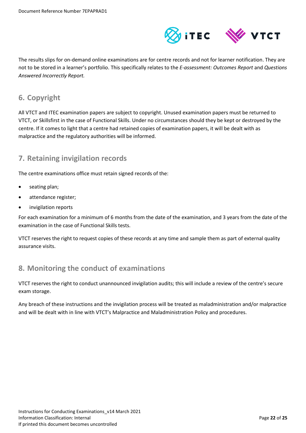

The results slips for on-demand online examinations are for centre records and not for learner notification. They are not to be stored in a learner's portfolio. This specifically relates to the *E-assessment: Outcomes Report* and *Questions Answered Incorrectly Report.* 

# <span id="page-21-0"></span>**6. Copyright**

All VTCT and ITEC examination papers are subject to copyright. Unused examination papers must be returned to VTCT, or Skillsfirst in the case of Functional Skills. Under no circumstances should they be kept or destroyed by the centre. If it comes to light that a centre had retained copies of examination papers, it will be dealt with as malpractice and the regulatory authorities will be informed.

# <span id="page-21-1"></span>**7. Retaining invigilation records**

The centre examinations office must retain signed records of the:

- seating plan;
- attendance register;
- invigilation reports

For each examination for a minimum of 6 months from the date of the examination, and 3 years from the date of the examination in the case of Functional Skills tests.

VTCT reserves the right to request copies of these records at any time and sample them as part of external quality assurance visits.

# <span id="page-21-2"></span>**8. Monitoring the conduct of examinations**

VTCT reserves the right to conduct unannounced invigilation audits; this will include a review of the centre's secure exam storage.

Any breach of these instructions and the invigilation process will be treated as maladministration and/or malpractice and will be dealt with in line with VTCT's Malpractice and Maladministration Policy and procedures.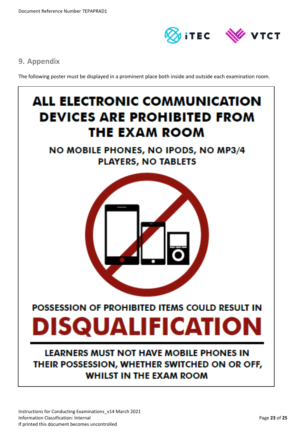

# <span id="page-22-0"></span>**9. Appendix**

The following poster must be displayed in a prominent place both inside and outside each examination room.

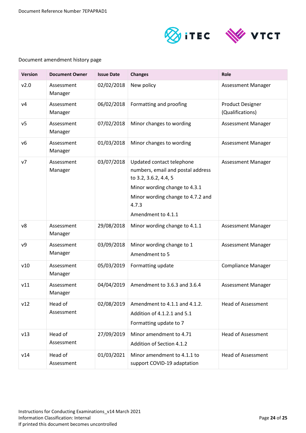

## Document amendment history page

| <b>Version</b> | <b>Document Owner</b> | <b>Issue Date</b> | <b>Changes</b>                                                                                                                                                                               | Role                                        |
|----------------|-----------------------|-------------------|----------------------------------------------------------------------------------------------------------------------------------------------------------------------------------------------|---------------------------------------------|
| v2.0           | Assessment<br>Manager | 02/02/2018        | New policy                                                                                                                                                                                   | <b>Assessment Manager</b>                   |
| V <sub>4</sub> | Assessment<br>Manager | 06/02/2018        | Formatting and proofing                                                                                                                                                                      | <b>Product Designer</b><br>(Qualifications) |
| ν5             | Assessment<br>Manager | 07/02/2018        | Minor changes to wording                                                                                                                                                                     | Assessment Manager                          |
| ν6             | Assessment<br>Manager | 01/03/2018        | Minor changes to wording                                                                                                                                                                     | Assessment Manager                          |
| v7             | Assessment<br>Manager | 03/07/2018        | Updated contact telephone<br>numbers, email and postal address<br>to 3.2, 3.6.2, 4.4, 5<br>Minor wording change to 4.3.1<br>Minor wording change to 4.7.2 and<br>4.7.3<br>Amendment to 4.1.1 | Assessment Manager                          |
| v8             | Assessment<br>Manager | 29/08/2018        | Minor wording change to 4.1.1                                                                                                                                                                | Assessment Manager                          |
| ν9             | Assessment<br>Manager | 03/09/2018        | Minor wording change to 1<br>Amendment to 5                                                                                                                                                  | Assessment Manager                          |
| v10            | Assessment<br>Manager | 05/03/2019        | Formatting update                                                                                                                                                                            | <b>Compliance Manager</b>                   |
| v11            | Assessment<br>Manager | 04/04/2019        | Amendment to 3.6.3 and 3.6.4                                                                                                                                                                 | Assessment Manager                          |
| v12            | Head of<br>Assessment | 02/08/2019        | Amendment to 4.1.1 and 4.1.2.<br>Addition of 4.1.2.1 and 5.1<br>Formatting update to 7                                                                                                       | <b>Head of Assessment</b>                   |
| v13            | Head of<br>Assessment | 27/09/2019        | Minor amendment to 4.71<br>Addition of Section 4.1.2                                                                                                                                         | <b>Head of Assessment</b>                   |
| v14            | Head of<br>Assessment | 01/03/2021        | Minor amendment to 4.1.1 to<br>support COVID-19 adaptation                                                                                                                                   | <b>Head of Assessment</b>                   |